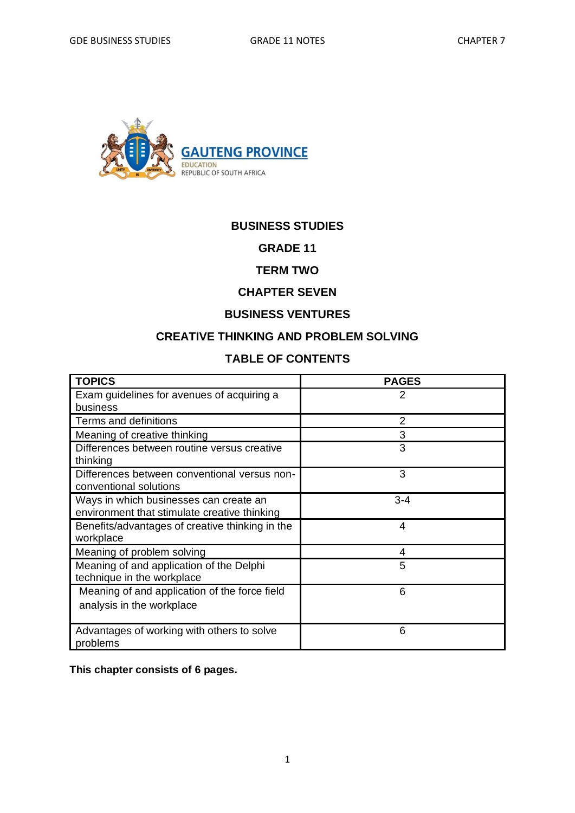

#### **BUSINESS STUDIES**

**GRADE 11** 

### **TERM TWO**

### **CHAPTER SEVEN**

### **BUSINESS VENTURES**

## **CREATIVE THINKING AND PROBLEM SOLVING**

# **TABLE OF CONTENTS**

| <b>TOPICS</b>                                                                          | <b>PAGES</b> |
|----------------------------------------------------------------------------------------|--------------|
| Exam guidelines for avenues of acquiring a<br>business                                 | 2            |
| Terms and definitions                                                                  | 2            |
| Meaning of creative thinking                                                           | 3            |
| Differences between routine versus creative<br>thinking                                | 3            |
| Differences between conventional versus non-<br>conventional solutions                 | 3            |
| Ways in which businesses can create an<br>environment that stimulate creative thinking | $3 - 4$      |
| Benefits/advantages of creative thinking in the<br>workplace                           | 4            |
| Meaning of problem solving                                                             | 4            |
| Meaning of and application of the Delphi<br>technique in the workplace                 | 5            |
| Meaning of and application of the force field<br>analysis in the workplace             | 6            |
| Advantages of working with others to solve<br>problems                                 | 6            |

**This chapter consists of 6 pages.**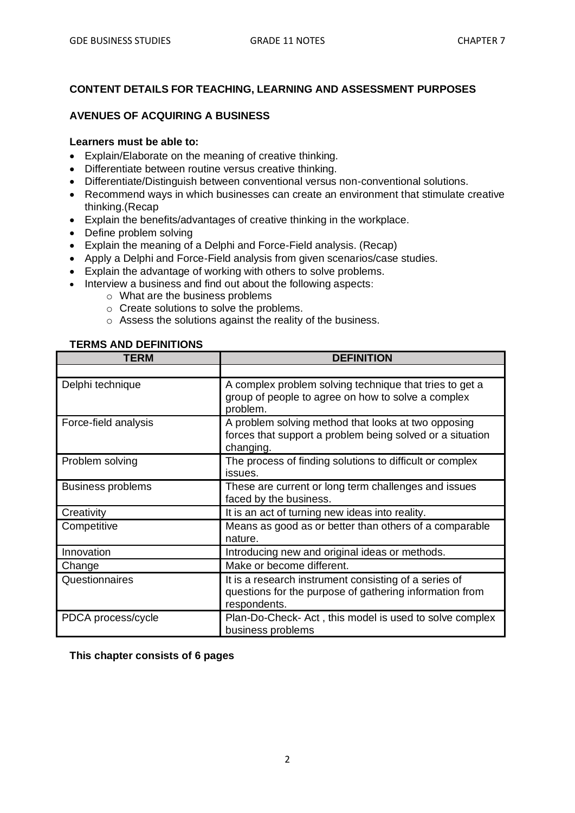#### **CONTENT DETAILS FOR TEACHING, LEARNING AND ASSESSMENT PURPOSES**

#### **AVENUES OF ACQUIRING A BUSINESS**

#### **Learners must be able to:**

- Explain/Elaborate on the meaning of creative thinking.
- Differentiate between routine versus creative thinking.
- Differentiate/Distinguish between conventional versus non-conventional solutions.
- Recommend ways in which businesses can create an environment that stimulate creative thinking.(Recap
- Explain the benefits/advantages of creative thinking in the workplace.
- Define problem solving
- Explain the meaning of a Delphi and Force-Field analysis. (Recap)
- Apply a Delphi and Force-Field analysis from given scenarios/case studies.
- Explain the advantage of working with others to solve problems.
- Interview a business and find out about the following aspects:
	- o What are the business problems
	- o Create solutions to solve the problems.
	- o Assess the solutions against the reality of the business.

#### **TERMS AND DEFINITIONS**

| <b>TERM</b>              | <b>DEFINITION</b>                                                                                                                |
|--------------------------|----------------------------------------------------------------------------------------------------------------------------------|
|                          |                                                                                                                                  |
| Delphi technique         | A complex problem solving technique that tries to get a<br>group of people to agree on how to solve a complex<br>problem.        |
| Force-field analysis     | A problem solving method that looks at two opposing<br>forces that support a problem being solved or a situation<br>changing.    |
| Problem solving          | The process of finding solutions to difficult or complex<br>issues.                                                              |
| <b>Business problems</b> | These are current or long term challenges and issues<br>faced by the business.                                                   |
| Creativity               | It is an act of turning new ideas into reality.                                                                                  |
| Competitive              | Means as good as or better than others of a comparable<br>nature.                                                                |
| Innovation               | Introducing new and original ideas or methods.                                                                                   |
| Change                   | Make or become different.                                                                                                        |
| Questionnaires           | It is a research instrument consisting of a series of<br>questions for the purpose of gathering information from<br>respondents. |
| PDCA process/cycle       | Plan-Do-Check- Act, this model is used to solve complex<br>business problems                                                     |

**This chapter consists of 6 pages**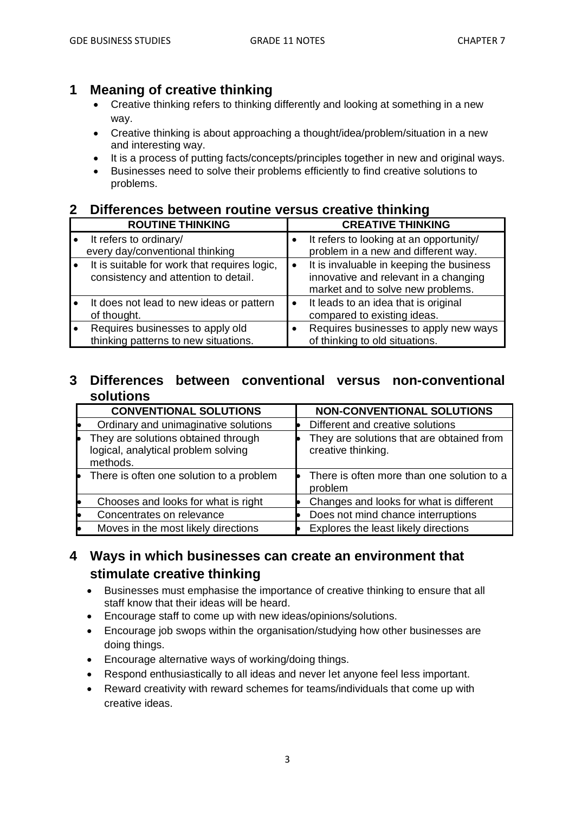# **1 Meaning of creative thinking**

- Creative thinking refers to thinking differently and looking at something in a new way.
- Creative thinking is about approaching a thought/idea/problem/situation in a new and interesting way.
- It is a process of putting facts/concepts/principles together in new and original ways.
- Businesses need to solve their problems efficiently to find creative solutions to problems.

#### **2 Differences between routine versus creative thinking**

| <b>ROUTINE THINKING</b>                                                              |           | <b>CREATIVE THINKING</b>                                                                                               |
|--------------------------------------------------------------------------------------|-----------|------------------------------------------------------------------------------------------------------------------------|
| It refers to ordinary/<br>every day/conventional thinking                            |           | It refers to looking at an opportunity/<br>problem in a new and different way.                                         |
| It is suitable for work that requires logic,<br>consistency and attention to detail. | $\bullet$ | It is invaluable in keeping the business<br>innovative and relevant in a changing<br>market and to solve new problems. |
| It does not lead to new ideas or pattern<br>of thought.                              | $\bullet$ | It leads to an idea that is original<br>compared to existing ideas.                                                    |
| Requires businesses to apply old<br>thinking patterns to new situations.             |           | Requires businesses to apply new ways<br>of thinking to old situations.                                                |

### **3 Differences between conventional versus non-conventional solutions**

| <b>CONVENTIONAL SOLUTIONS</b>                                                          | <b>NON-CONVENTIONAL SOLUTIONS</b>                               |
|----------------------------------------------------------------------------------------|-----------------------------------------------------------------|
| Ordinary and unimaginative solutions                                                   | Different and creative solutions                                |
| They are solutions obtained through<br>logical, analytical problem solving<br>methods. | They are solutions that are obtained from<br>creative thinking. |
| There is often one solution to a problem                                               | There is often more than one solution to a<br>problem           |
| Chooses and looks for what is right                                                    | Changes and looks for what is different                         |
| Concentrates on relevance                                                              | Does not mind chance interruptions                              |
| Moves in the most likely directions                                                    | Explores the least likely directions                            |

# **4 Ways in which businesses can create an environment that stimulate creative thinking**

- Businesses must emphasise the importance of creative thinking to ensure that all staff know that their ideas will be heard.
- Encourage staff to come up with new ideas/opinions/solutions.
- Encourage job swops within the organisation/studying how other businesses are doing things.
- Encourage alternative ways of working/doing things.
- Respond enthusiastically to all ideas and never let anyone feel less important.
- Reward creativity with reward schemes for teams/individuals that come up with creative ideas.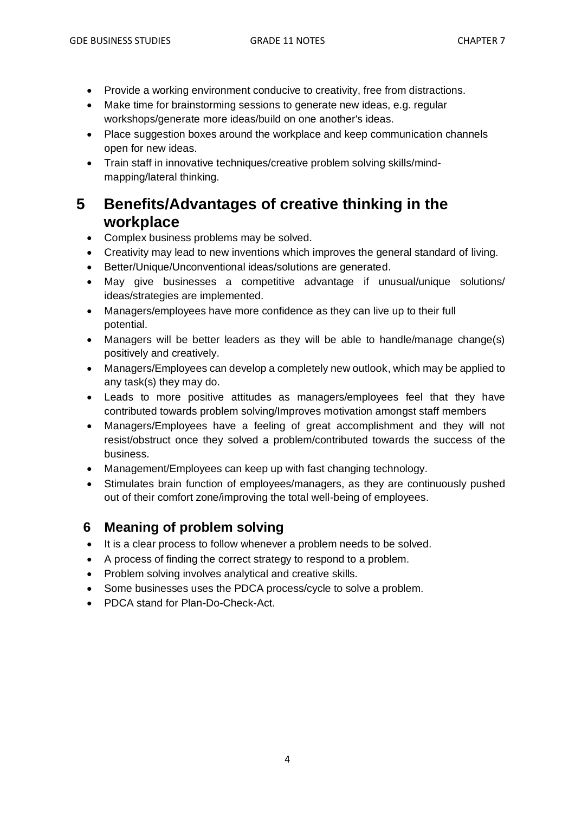- Provide a working environment conducive to creativity, free from distractions.
- Make time for brainstorming sessions to generate new ideas, e.g. regular workshops/generate more ideas/build on one another's ideas.
- Place suggestion boxes around the workplace and keep communication channels open for new ideas.
- Train staff in innovative techniques/creative problem solving skills/mindmapping/lateral thinking.

# **5 Benefits/Advantages of creative thinking in the workplace**

- Complex business problems may be solved.
- Creativity may lead to new inventions which improves the general standard of living.
- Better/Unique/Unconventional ideas/solutions are generated.
- May give businesses a competitive advantage if unusual/unique solutions/ ideas/strategies are implemented.
- Managers/employees have more confidence as they can live up to their full potential.
- Managers will be better leaders as they will be able to handle/manage change(s) positively and creatively.
- Managers/Employees can develop a completely new outlook, which may be applied to any task(s) they may do.
- Leads to more positive attitudes as managers/employees feel that they have contributed towards problem solving/Improves motivation amongst staff members
- Managers/Employees have a feeling of great accomplishment and they will not resist/obstruct once they solved a problem/contributed towards the success of the business.
- Management/Employees can keep up with fast changing technology.
- Stimulates brain function of employees/managers, as they are continuously pushed out of their comfort zone/improving the total well-being of employees.

# **6 Meaning of problem solving**

- It is a clear process to follow whenever a problem needs to be solved.
- A process of finding the correct strategy to respond to a problem.
- Problem solving involves analytical and creative skills.
- Some businesses uses the PDCA process/cycle to solve a problem.
- PDCA stand for Plan-Do-Check-Act.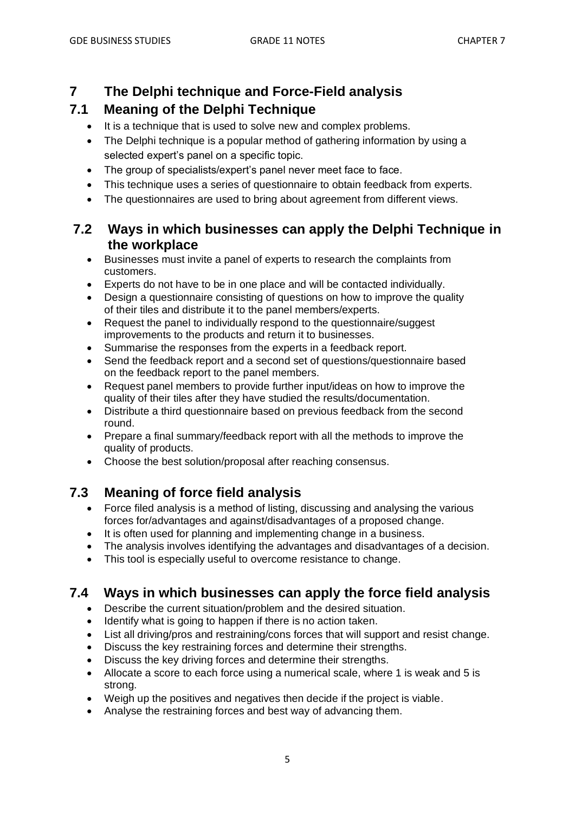# **7 The Delphi technique and Force-Field analysis**

# **7.1 Meaning of the Delphi Technique**

- It is a technique that is used to solve new and complex problems.
- The Delphi technique is a popular method of gathering information by using a selected expert's panel on a specific topic.
- The group of specialists/expert's panel never meet face to face.
- This technique uses a series of questionnaire to obtain feedback from experts.
- The questionnaires are used to bring about agreement from different views.

# **7.2 Ways in which businesses can apply the Delphi Technique in the workplace**

- Businesses must invite a panel of experts to research the complaints from customers.
- Experts do not have to be in one place and will be contacted individually.
- Design a questionnaire consisting of questions on how to improve the quality of their tiles and distribute it to the panel members/experts.
- Request the panel to individually respond to the questionnaire/suggest improvements to the products and return it to businesses.
- Summarise the responses from the experts in a feedback report.
- Send the feedback report and a second set of questions/questionnaire based on the feedback report to the panel members.
- Request panel members to provide further input/ideas on how to improve the quality of their tiles after they have studied the results/documentation.
- Distribute a third questionnaire based on previous feedback from the second round.
- Prepare a final summary/feedback report with all the methods to improve the quality of products.
- Choose the best solution/proposal after reaching consensus.

# **7.3 Meaning of force field analysis**

- Force filed analysis is a method of listing, discussing and analysing the various forces for/advantages and against/disadvantages of a proposed change.
- It is often used for planning and implementing change in a business.
- The analysis involves identifying the advantages and disadvantages of a decision.
- This tool is especially useful to overcome resistance to change.

# **7.4 Ways in which businesses can apply the force field analysis**

- Describe the current situation/problem and the desired situation.
- Identify what is going to happen if there is no action taken.
- List all driving/pros and restraining/cons forces that will support and resist change.
- Discuss the key restraining forces and determine their strengths.
- Discuss the key driving forces and determine their strengths.
- Allocate a score to each force using a numerical scale, where 1 is weak and 5 is strong.
- Weigh up the positives and negatives then decide if the project is viable.
- Analyse the restraining forces and best way of advancing them.